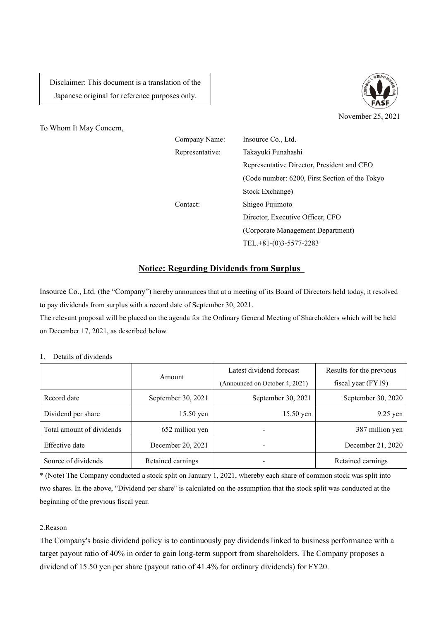Disclaimer: This document is a translation of the Japanese original for reference purposes only.





Company Name: Insource Co., Ltd. Representative: Takayuki Funahashi Representative Director, President and CEO (Code number: 6200, First Section of the Tokyo Stock Exchange) Contact: Shigeo Fujimoto Director, Executive Officer, CFO (Corporate Management Department) TEL.+81-(0)3-5577-2283

## **Notice: Regarding Dividends from Surplus**

Insource Co., Ltd. (the "Company") hereby announces that at a meeting of its Board of Directors held today, it resolved to pay dividends from surplus with a record date of September 30, 2021.

The relevant proposal will be placed on the agenda for the Ordinary General Meeting of Shareholders which will be held on December 17, 2021, as described below.

## 1. Details of dividends

|                           | Amount             | Latest dividend forecast       | Results for the previous |
|---------------------------|--------------------|--------------------------------|--------------------------|
|                           |                    | (Announced on October 4, 2021) | fiscal year $(FY19)$     |
| Record date               | September 30, 2021 | September 30, 2021             | September 30, 2020       |
| Dividend per share        | $15.50$ yen        | $15.50$ yen                    | $9.25$ yen               |
| Total amount of dividends | 652 million yen    |                                | 387 million yen          |
| Effective date            | December 20, 2021  | -                              | December 21, 2020        |
| Source of dividends       | Retained earnings  |                                | Retained earnings        |

\* (Note) The Company conducted a stock split on January 1, 2021, whereby each share of common stock was split into two shares. In the above, "Dividend per share" is calculated on the assumption that the stock split was conducted at the beginning of the previous fiscal year.

## 2.Reason

The Company's basic dividend policy is to continuously pay dividends linked to business performance with a target payout ratio of 40% in order to gain long-term support from shareholders. The Company proposes a dividend of 15.50 yen per share (payout ratio of 41.4% for ordinary dividends) for FY20.